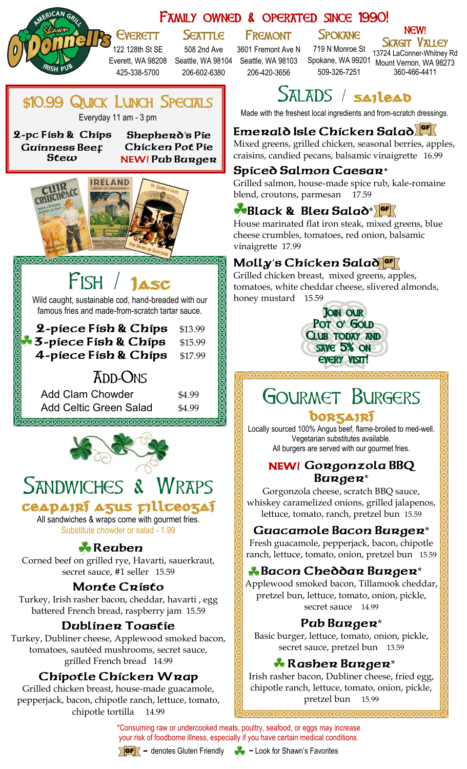### Family owned & operated since 1990!

# **SEATTLE**

122 128th St SE 425-338-5700

**Everett** 

508 2nd Ave Everett, WA 98208 Seattle, WA 98104 Seattle, WA 98103 206-602-6380

Fremont 3601 Fremont Ave N

206-420-3656

**SPOKANE** 719 N Monroe St

Spokane, WA 99201 Mount Vernon, WA 98273 Sk<del>agit</del> Valley 13724 LaConner-Whitney Rd 360-466-4411



# SALADS / sailead

509-326-7251

Made with the freshest local ingredients and from-scratch dressings.

# **Emerald Isle Chicken Salad**  GF

Mixed greens, grilled chicken, seasonal berries, apples, craisins, candied pecans, balsamic vinaigrette 16.99

#### **Spiced Salmon Caesar**\*

Grilled salmon, house-made spice rub, kale-romaine blend, croutons, parmesan 17.59

# *Black & Bleu Salad\** **F**

House marinated flat iron steak, mixed greens, blue cheese crumbles, tomatoes, red onion, balsamic

# **Molly**'**s Chicken Salad**  GF

Grilled chicken breast, mixed greens, apples, tomatoes, white cheddar cheese, slivered almonds,



# Gourmet Burgers borzairí

Locally sourced 100% Angus beef, flame-broiled to med-well. Vegetarian substitutes available. All burgers are served with our gourmet fries.

#### **NEW! Gorgonzola BBQ Burger**\*

Gorgonzola cheese, scratch BBQ sauce, whiskey caramelized onions, grilled jalapenos, lettuce, tomato, ranch, pretzel bun 15.59

# **Guacamole Bacon Burger**\*

Fresh guacamole, pepperjack, bacon, chipotle ranch, lettuce, tomato, onion, pretzel bun 15.59

# **Bacon Cheddar Burger**\*

Applewood smoked bacon, Tillamook cheddar, pretzel bun, lettuce, tomato, onion, pickle, secret sauce 14.99

#### **Pub Burger**\*

Basic burger, lettuce, tomato, onion, pickle, secret sauce, pretzel bun 13.59

# **Rasher Burger**\*

Irish rasher bacon, Dubliner cheese, fried egg, chipotle ranch, lettuce, tomato, onion, pickle, pretzel bun 15.99

\*Consuming raw or undercooked meats, poultry, seafood, or eggs may increase your risk of foodborne illness, especially if you have certain medical conditions.



GF **-** denotes Gluten Friendly **~** Look for Shawn's Favorites